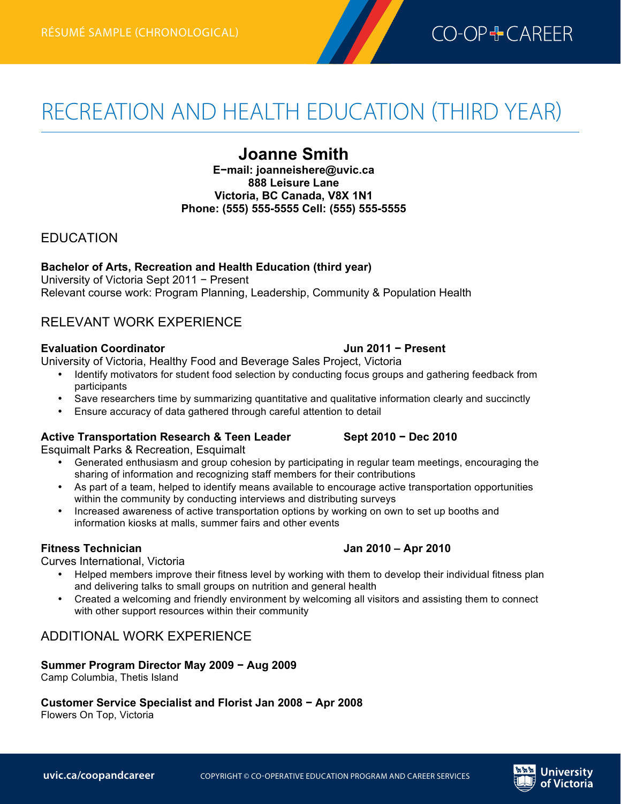

# RECREATION AND HEALTH EDUCATION (THIRD YEAR)

# **Joanne Smith**

**E−mail: joanneishere@uvic.ca 888 Leisure Lane Victoria, BC Canada, V8X 1N1 Phone: (555) 555-5555 Cell: (555) 555-5555**

# EDUCATION

**Bachelor of Arts, Recreation and Health Education (third year)** University of Victoria Sept 2011 − Present Relevant course work: Program Planning, Leadership, Community & Population Health

# RELEVANT WORK EXPERIENCE

## **Evaluation Coordinator Jun 2011 − Present**

University of Victoria, Healthy Food and Beverage Sales Project, Victoria

- Identify motivators for student food selection by conducting focus groups and gathering feedback from participants
- Save researchers time by summarizing quantitative and qualitative information clearly and succinctly
- Ensure accuracy of data gathered through careful attention to detail

# **Active Transportation Research & Teen Leader Sept 2010 − Dec 2010**

Esquimalt Parks & Recreation, Esquimalt

- Generated enthusiasm and group cohesion by participating in regular team meetings, encouraging the sharing of information and recognizing staff members for their contributions
- As part of a team, helped to identify means available to encourage active transportation opportunities within the community by conducting interviews and distributing surveys
- Increased awareness of active transportation options by working on own to set up booths and information kiosks at malls, summer fairs and other events

Curves International, Victoria

- Helped members improve their fitness level by working with them to develop their individual fitness plan and delivering talks to small groups on nutrition and general health
- Created a welcoming and friendly environment by welcoming all visitors and assisting them to connect with other support resources within their community

# ADDITIONAL WORK EXPERIENCE

### **Summer Program Director May 2009 − Aug 2009**

Camp Columbia, Thetis Island

# **Customer Service Specialist and Florist Jan 2008 − Apr 2008**

Flowers On Top, Victoria



# **Fitness Technician Jan 2010 – Apr 2010**